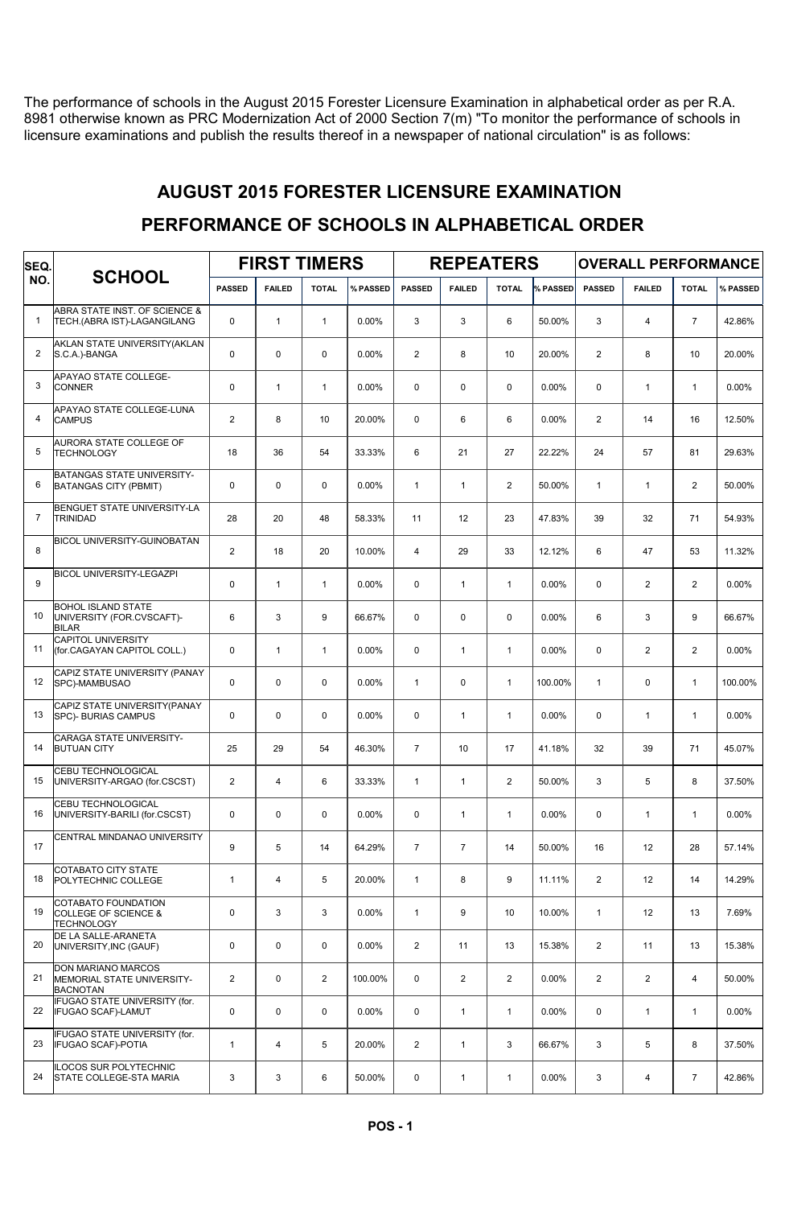The performance of schools in the August 2015 Forester Licensure Examination in alphabetical order as per R.A. 8981 otherwise known as PRC Modernization Act of 2000 Section 7(m) "To monitor the performance of schools in licensure examinations and publish the results thereof in a newspaper of national circulation" is as follows:

#### AUGUST 2015 FORESTER LICENSURE EXAMINATION

#### FIRST TIMERS | REPEATERS | OVERALL PERFORMANCE SCHOOL PASSED FAILED TOTAL WASSED PASSED FAILED TOTAL WASSED PASSED FAILED TOTAL WASSED SEQ. NO. ABRA STATE INST. OF SCIENCE & 1 TECH.(ABRA IST)-LAGANGILANG 0 1 1 1 0.00% 3 3 6 50.00% 3 4 7 42.86% AKLAN STATE UNIVERSITY(AKLAN<br>S.C.A.)-BANGA 2 S.C.A.)-BANGA | 0 | 0 | 0 | 0.00% | 2 | 8 | 10 | 20.00% | 2 | 8 | 10 | 20.00% **APAYAO STATE COLLEGE-**<br>CONNER 3 |CONNER | 0 | 1 | 1 | 0.00% | 0 | 0 | 0 0.00% | 0 | 1 | 1 | 0.00% APAYAO STATE COLLEGE-LUNA 4 CAMPUS 2 8 10 20.00% 0 6 6 0.00% 2 14 16 12.50% **AURORA STATE COLLEGE OF<br>TECHNOLOGY** 5 TECHNOLOGY 18 36 54 33.33% 6 21 27 22.22% 24 57 81 29.63% BATANGAS STATE UNIVERSITY-6 BATANGAS CITY (PBMIT) 0 0 0 0.00% 1 1 2 50.00% 1 1 2 50.00% BENGUET STATE UNIVERSITY-LA<br>TRINIDAD 7 TRINIDAD 28 20 48 58.33% 11 12 23 47.83% 39 32 71 54.93% BICOL UNIVERSITY-GUINOBATAN 8 | | 2 | 18 | 20 | 10.00% | 4 | 29 | 33 | 12.12% | 6 | 47 | 53 | 11.32% BICOL UNIVERSITY-LEGAZPI 9 0 0 1 1 0.00% 0 1 1 1 0.00% 0 2 2 0.00% BOHOL ISLAND STATE UNIVERSITY (FOR.CVSCAFT)- 10 6 3 9 66.67% 0 0 0 0.00% 6 3 9 66.67% BILAR CAPITOL UNIVERSITY 11 (for.CAGAYAN CAPITOL COLL.) 0 1 1 1 0.00% 0 1 1 1 0.00% 0 2 2 0.00% CAPIZ STATE UNIVERSITY (PANAY 12 SPC)-MAMBUSAO 0 0 0 0 0.00% 1 0 0 1 100.00% 1 0 1 100.00% CAPIZ STATE UNIVERSITY(PANAY 13 SPC)- BURIAS CAMPUS 0 0 0 0 0 0.00% 0 0 1 1 0.00% 0 0 1 1 1 0.00% CARAGA STATE UNIVERSITY-<br>BUTUAN CITY 14 |BUTUAN CITY 25 | 29 | 54 | 46.30% | 7 | 10 | 17 | 41.18% | 32 | 39 | 71 | 45.07% CEBU TECHNOLOGICAL 15 UNIVERSITY-ARGAO (for.CSCST) 2 4 6 33.33% 1 1 2 50.00% 3 5 8 37.50% CEBU TECHNOLOGICAL 16 UNIVERSITY-BARILI (for.CSCST) 0 0 0 0.00% 0 1 1 0.00% 0 1 1 0.00% CENTRAL MINDANAO UNIVERSITY 17 | | 9 | 5 | 14 | 64.29% | 7 | 7 | 14 | 50.00% | 16 | 12 | 28 | 57.14% COTABATO CITY STATE 18 POLYTECHNIC COLLEGE 1 4 5 20.00% 1 8 9 11.11% 2 12 14 14.29% COTABATO FOUNDATION 19 COLLEGE OF SCIENCE & | 0 | 3 | 3 | 0.00% | 1 | 9 | 10 | 10.00% | 1 | 12 | 13 | 7.69% **TECHNOLOGY**

#### PERFORMANCE OF SCHOOLS IN ALPHABETICAL ORDER

20 UNIVERSITY,INC (GAUF) 0 0 0 0 0.00% 2 11 13 15.38% 2 11 13 15.38%

MEMORIAL STATE UNIVERSITY-21 2 0 2 100.00% 0 2 2 0.00% 2 2 4 50.00%

22 IFUGAO SCAF)-LAMUT ( 0 0 0 0 0.00% 0 1 1 0.00% 0 1 1 1 0.00%

23 |IFUGAO SCAF)-POTIA | 1 | 4 | 5 | 20.00% | 2 | 1 | 3 | 66.67% | 3 | 5 | 8 | 37.50%

24 STATE COLLEGE-STA MARIA 3 3 3 6 50.00% 0 1 1 0.00% 3 4 7 42.86%

DE LA SALLE-ARANETA

DON MARIANO MARCOS

IFUGAO STATE UNIVERSITY (for.

IFUGAO STATE UNIVERSITY (for.

ILOCOS SUR POLYTECHNIC

BACNOTAN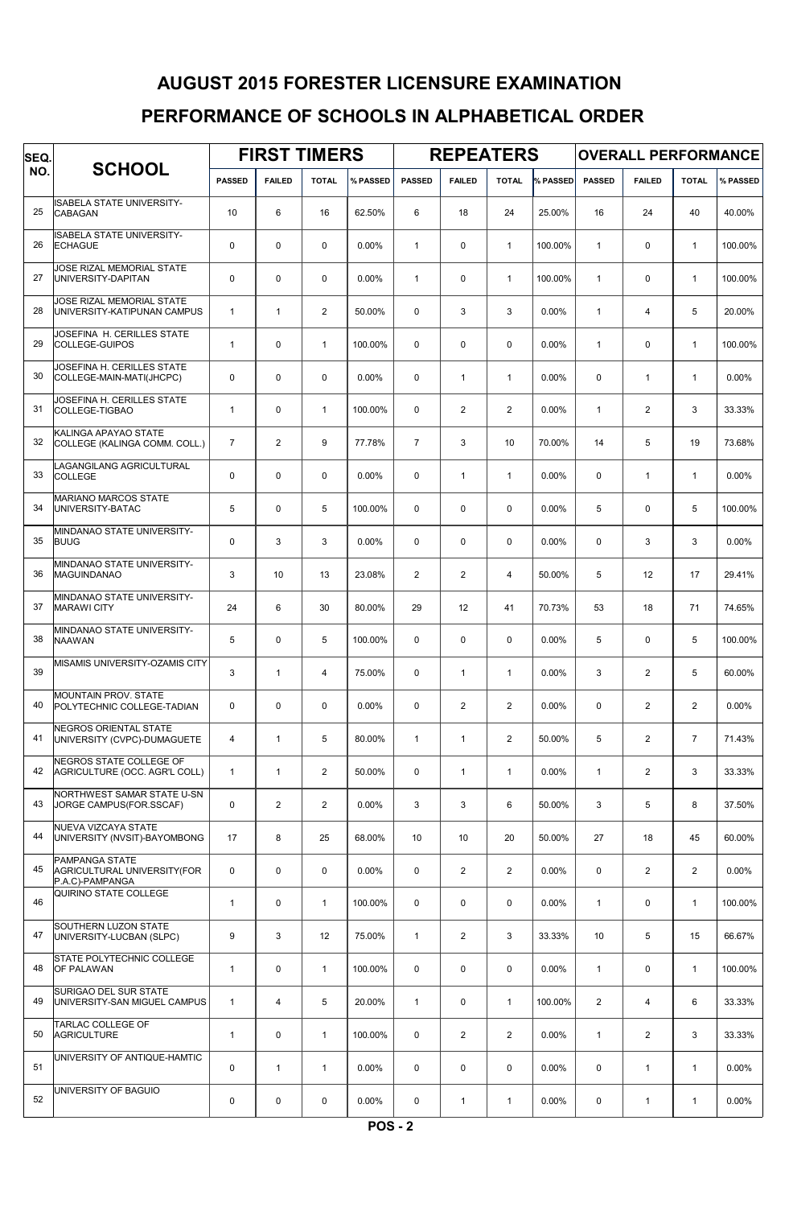## AUGUST 2015 FORESTER LICENSURE EXAMINATION

#### PERFORMANCE OF SCHOOLS IN ALPHABETICAL ORDER

| SEQ.<br>NO. | <b>SCHOOL</b>                                                    | <b>FIRST TIMERS</b> |                |                |          |                | <b>REPEATERS</b> |                |          | <b>OVERALL PERFORMANCE</b> |                |                |          |  |
|-------------|------------------------------------------------------------------|---------------------|----------------|----------------|----------|----------------|------------------|----------------|----------|----------------------------|----------------|----------------|----------|--|
|             |                                                                  | <b>PASSED</b>       | <b>FAILED</b>  | <b>TOTAL</b>   | % PASSED | <b>PASSED</b>  | <b>FAILED</b>    | <b>TOTAL</b>   | % PASSED | <b>PASSED</b>              | <b>FAILED</b>  | <b>TOTAL</b>   | % PASSED |  |
| 25          | ISABELA STATE UNIVERSITY-<br>CABAGAN                             | 10                  | 6              | 16             | 62.50%   | 6              | 18               | 24             | 25.00%   | 16                         | 24             | 40             | 40.00%   |  |
| 26          | ISABELA STATE UNIVERSITY-<br><b>ECHAGUE</b>                      | $\mathbf 0$         | $\mathbf 0$    | $\mathbf 0$    | 0.00%    | $\mathbf{1}$   | $\mathbf 0$      | $\mathbf{1}$   | 100.00%  | $\mathbf{1}$               | 0              | $\mathbf{1}$   | 100.00%  |  |
| 27          | JOSE RIZAL MEMORIAL STATE<br>UNIVERSITY-DAPITAN                  | $\mathbf 0$         | $\mathbf 0$    | $\mathbf 0$    | 0.00%    | $\mathbf{1}$   | $\mathbf 0$      | $\mathbf{1}$   | 100.00%  | $\mathbf{1}$               | 0              | $\mathbf{1}$   | 100.00%  |  |
| 28          | JOSE RIZAL MEMORIAL STATE<br>UNIVERSITY-KATIPUNAN CAMPUS         | $\mathbf{1}$        | $\mathbf{1}$   | $\overline{2}$ | 50.00%   | $\mathbf 0$    | 3                | 3              | 0.00%    | $\mathbf{1}$               | $\overline{4}$ | 5              | 20.00%   |  |
| 29          | JOSEFINA H. CERILLES STATE<br>COLLEGE-GUIPOS                     | $\mathbf{1}$        | $\mathbf 0$    | $\mathbf{1}$   | 100.00%  | $\mathbf 0$    | $\mathbf 0$      | $\mathbf 0$    | 0.00%    | $\mathbf{1}$               | 0              | $\mathbf{1}$   | 100.00%  |  |
| 30          | JOSEFINA H. CERILLES STATE<br>COLLEGE-MAIN-MATI(JHCPC)           | $\mathbf 0$         | $\mathbf 0$    | $\mathbf 0$    | 0.00%    | $\mathbf 0$    | $\mathbf{1}$     | $\mathbf{1}$   | 0.00%    | 0                          | $\mathbf{1}$   | $\mathbf{1}$   | 0.00%    |  |
| 31          | JOSEFINA H. CERILLES STATE<br>COLLEGE-TIGBAO                     | $\mathbf{1}$        | $\mathbf 0$    | $\mathbf{1}$   | 100.00%  | 0              | 2                | $\overline{2}$ | 0.00%    | $\mathbf{1}$               | $\overline{2}$ | 3              | 33.33%   |  |
| 32          | KALINGA APAYAO STATE<br>COLLEGE (KALINGA COMM. COLL.)            | $\overline{7}$      | $\overline{2}$ | 9              | 77.78%   | $\overline{7}$ | 3                | 10             | 70.00%   | 14                         | 5              | 19             | 73.68%   |  |
| 33          | LAGANGILANG AGRICULTURAL<br>COLLEGE                              | $\mathbf 0$         | $\mathbf 0$    | $\mathbf 0$    | 0.00%    | 0              | $\mathbf{1}$     | $\mathbf{1}$   | 0.00%    | 0                          | $\mathbf{1}$   | $\mathbf{1}$   | 0.00%    |  |
| 34          | <b>MARIANO MARCOS STATE</b><br>UNIVERSITY-BATAC                  | 5                   | $\mathbf 0$    | 5              | 100.00%  | $\mathbf 0$    | $\mathbf 0$      | $\mathbf 0$    | 0.00%    | 5                          | 0              | 5              | 100.00%  |  |
| 35          | MINDANAO STATE UNIVERSITY-<br><b>BUUG</b>                        | $\mathbf 0$         | 3              | 3              | 0.00%    | $\mathbf 0$    | $\mathbf 0$      | $\mathbf 0$    | 0.00%    | 0                          | 3              | 3              | 0.00%    |  |
| 36          | MINDANAO STATE UNIVERSITY-<br><b>MAGUINDANAO</b>                 | 3                   | 10             | 13             | 23.08%   | $\overline{2}$ | 2                | $\overline{4}$ | 50.00%   | 5                          | 12             | 17             | 29.41%   |  |
| 37          | MINDANAO STATE UNIVERSITY-<br><b>MARAWI CITY</b>                 | 24                  | 6              | 30             | 80.00%   | 29             | 12               | 41             | 70.73%   | 53                         | 18             | 71             | 74.65%   |  |
| 38          | MINDANAO STATE UNIVERSITY-<br><b>NAAWAN</b>                      | 5                   | $\mathbf 0$    | 5              | 100.00%  | $\mathbf 0$    | $\mathbf 0$      | $\mathbf 0$    | 0.00%    | 5                          | 0              | 5              | 100.00%  |  |
| 39          | MISAMIS UNIVERSITY-OZAMIS CITY                                   | 3                   | $\mathbf{1}$   | $\overline{4}$ | 75.00%   | 0              | $\mathbf{1}$     | $\mathbf{1}$   | 0.00%    | 3                          | $\overline{2}$ | 5              | 60.00%   |  |
| 40          | <b>MOUNTAIN PROV. STATE</b><br>POLYTECHNIC COLLEGE-TADIAN        | $\mathbf 0$         | $\mathbf 0$    | $\mathbf 0$    | 0.00%    | 0              | 2                | $\overline{2}$ | 0.00%    | 0                          | $\overline{2}$ | $\overline{2}$ | 0.00%    |  |
| 41          | NEGROS ORIENTAL STATE<br>UNIVERSITY (CVPC)-DUMAGUETE             | $\overline{4}$      | $\mathbf{1}$   | 5              | 80.00%   | $\mathbf{1}$   | $\mathbf{1}$     | $\overline{2}$ | 50.00%   | 5                          | $\overline{2}$ | $\overline{7}$ | 71.43%   |  |
| 42          | NEGROS STATE COLLEGE OF<br>AGRICULTURE (OCC. AGR'L COLL)         | $\mathbf{1}$        | $\mathbf{1}$   | $\overline{2}$ | 50.00%   | 0              | $\mathbf{1}$     | $\mathbf{1}$   | 0.00%    | $\mathbf{1}$               | $\overline{2}$ | 3              | 33.33%   |  |
| 43          | NORTHWEST SAMAR STATE U-SN<br>JORGE CAMPUS(FOR.SSCAF)            | $\mathbf 0$         | $\overline{2}$ | 2              | $0.00\%$ | 3              | 3                | 6              | 50.00%   | 3                          | 5              | 8              | 37.50%   |  |
| 44          | NUEVA VIZCAYA STATE<br>UNIVERSITY (NVSIT)-BAYOMBONG              | 17                  | 8              | 25             | 68.00%   | 10             | 10 <sup>1</sup>  | 20             | 50.00%   | 27                         | 18             | 45             | 60.00%   |  |
| 45          | PAMPANGA STATE<br>AGRICULTURAL UNIVERSITY(FOR<br>P.A.C)-PAMPANGA | $\mathbf 0$         | $\mathbf 0$    | $\mathsf 0$    | $0.00\%$ | 0              | 2                | $\overline{2}$ | 0.00%    | $\mathbf 0$                | $\mathbf{2}$   | $\mathbf{2}$   | 0.00%    |  |
| 46          | QUIRINO STATE COLLEGE                                            | $\mathbf{1}$        | $\mathbf 0$    | $\mathbf{1}$   | 100.00%  | $\mathbf 0$    | $\mathbf 0$      | $\mathbf 0$    | $0.00\%$ | $\mathbf{1}$               | 0              | $\mathbf{1}$   | 100.00%  |  |
| 47          | SOUTHERN LUZON STATE<br>UNIVERSITY-LUCBAN (SLPC)                 | 9                   | 3              | 12             | 75.00%   | $\mathbf{1}$   | 2                | 3              | 33.33%   | 10                         | 5              | 15             | 66.67%   |  |
| 48          | STATE POLYTECHNIC COLLEGE<br><b>OF PALAWAN</b>                   | $\mathbf{1}$        | 0              | $\mathbf{1}$   | 100.00%  | 0              | $\mathbf 0$      | $\mathbf 0$    | $0.00\%$ | $\mathbf{1}$               | 0              | $\mathbf{1}$   | 100.00%  |  |
| 49          | SURIGAO DEL SUR STATE<br>UNIVERSITY-SAN MIGUEL CAMPUS            | $\mathbf{1}$        | $\overline{4}$ | 5              | 20.00%   | $\mathbf{1}$   | $\mathbf 0$      | $\mathbf{1}$   | 100.00%  | $\overline{2}$             | 4              | 6              | 33.33%   |  |
| 50          | TARLAC COLLEGE OF<br><b>AGRICULTURE</b>                          | $\mathbf{1}$        | 0              | $\mathbf{1}$   | 100.00%  | 0              | 2                | $\overline{2}$ | 0.00%    | $\mathbf{1}$               | $\mathbf{2}$   | 3              | 33.33%   |  |
| 51          | UNIVERSITY OF ANTIQUE-HAMTIC                                     | $\mathbf 0$         | $\mathbf{1}$   | $\mathbf{1}$   | $0.00\%$ | $\mathbf 0$    | $\mathbf 0$      | $\mathbf 0$    | $0.00\%$ | $\mathbf 0$                | $\mathbf{1}$   | $\mathbf{1}$   | $0.00\%$ |  |
| 52          | UNIVERSITY OF BAGUIO                                             | 0                   | 0              | $\mathsf 0$    | $0.00\%$ | 0              | $\mathbf{1}$     | $\mathbf{1}$   | $0.00\%$ | 0                          | $\mathbf{1}$   | $\mathbf{1}$   | $0.00\%$ |  |